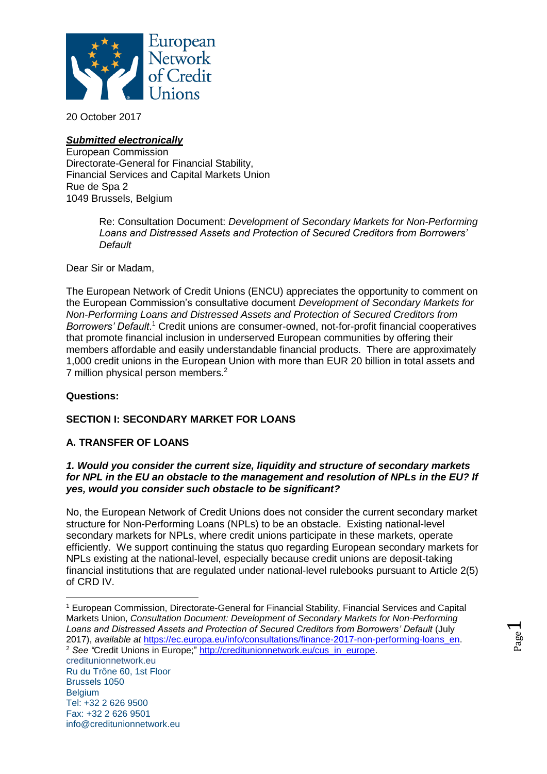

20 October 2017

# *Submitted electronically*

European Commission Directorate-General for Financial Stability, Financial Services and Capital Markets Union Rue de Spa 2 1049 Brussels, Belgium

> Re: Consultation Document: *Development of Secondary Markets for Non-Performing Loans and Distressed Assets and Protection of Secured Creditors from Borrowers' Default*

Dear Sir or Madam,

The European Network of Credit Unions (ENCU) appreciates the opportunity to comment on the European Commission's consultative document *Development of Secondary Markets for Non-Performing Loans and Distressed Assets and Protection of Secured Creditors from Borrowers' Default*. <sup>1</sup> Credit unions are consumer-owned, not-for-profit financial cooperatives that promote financial inclusion in underserved European communities by offering their members affordable and easily understandable financial products. There are approximately 1,000 credit unions in the European Union with more than EUR 20 billion in total assets and 7 million physical person members.<sup>2</sup>

## **Questions:**

# **SECTION I: SECONDARY MARKET FOR LOANS**

## **A. TRANSFER OF LOANS**

#### *1. Would you consider the current size, liquidity and structure of secondary markets for NPL in the EU an obstacle to the management and resolution of NPLs in the EU? If yes, would you consider such obstacle to be significant?*

No, the European Network of Credit Unions does not consider the current secondary market structure for Non-Performing Loans (NPLs) to be an obstacle. Existing national-level secondary markets for NPLs, where credit unions participate in these markets, operate efficiently. We support continuing the status quo regarding European secondary markets for NPLs existing at the national-level, especially because credit unions are deposit-taking financial institutions that are regulated under national-level rulebooks pursuant to Article 2(5) of CRD IV.

 $\overline{a}$ <sup>1</sup> European Commission, Directorate-General for Financial Stability, Financial Services and Capital Markets Union, *Consultation Document: Development of Secondary Markets for Non-Performing Loans and Distressed Assets and Protection of Secured Creditors from Borrowers' Default* (July 2017), *available at* [https://ec.europa.eu/info/consultations/finance-2017-non-performing-loans\\_en.](https://ec.europa.eu/info/consultations/finance-2017-non-performing-loans_en) <sup>2</sup> See "Credit Unions in Europe;" [http://creditunionnetwork.eu/cus\\_in\\_europe.](http://creditunionnetwork.eu/cus_in_europe)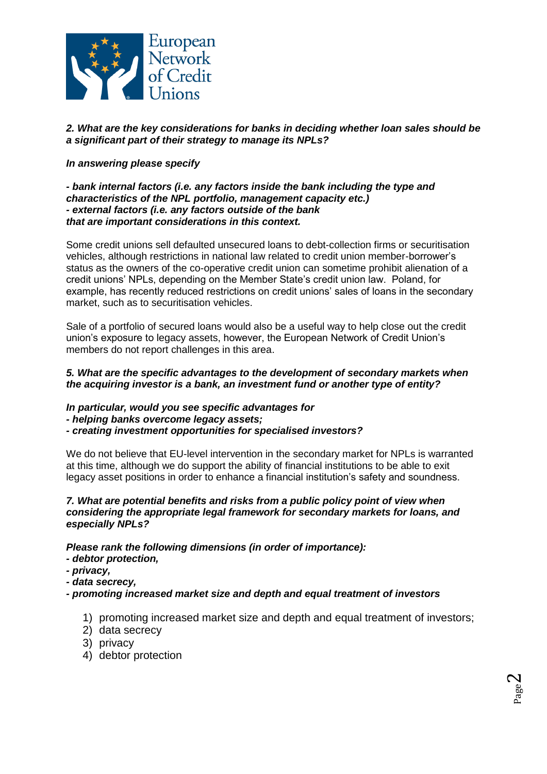

*2. What are the key considerations for banks in deciding whether loan sales should be a significant part of their strategy to manage its NPLs?* 

# *In answering please specify*

*- bank internal factors (i.e. any factors inside the bank including the type and characteristics of the NPL portfolio, management capacity etc.) - external factors (i.e. any factors outside of the bank that are important considerations in this context.* 

Some credit unions sell defaulted unsecured loans to debt-collection firms or securitisation vehicles, although restrictions in national law related to credit union member-borrower's status as the owners of the co-operative credit union can sometime prohibit alienation of a credit unions' NPLs, depending on the Member State's credit union law. Poland, for example, has recently reduced restrictions on credit unions' sales of loans in the secondary market, such as to securitisation vehicles.

Sale of a portfolio of secured loans would also be a useful way to help close out the credit union's exposure to legacy assets, however, the European Network of Credit Union's members do not report challenges in this area.

## *5. What are the specific advantages to the development of secondary markets when the acquiring investor is a bank, an investment fund or another type of entity?*

*In particular, would you see specific advantages for* 

*- helping banks overcome legacy assets;* 

*- creating investment opportunities for specialised investors?* 

We do not believe that EU-level intervention in the secondary market for NPLs is warranted at this time, although we do support the ability of financial institutions to be able to exit legacy asset positions in order to enhance a financial institution's safety and soundness.

#### *7. What are potential benefits and risks from a public policy point of view when considering the appropriate legal framework for secondary markets for loans, and especially NPLs?*

## *Please rank the following dimensions (in order of importance):*

- *- debtor protection,*
- *- privacy,*
- *- data secrecy,*

*- promoting increased market size and depth and equal treatment of investors* 

- 1) promoting increased market size and depth and equal treatment of investors;
- 2) data secrecy
- 3) privacy
- 4) debtor protection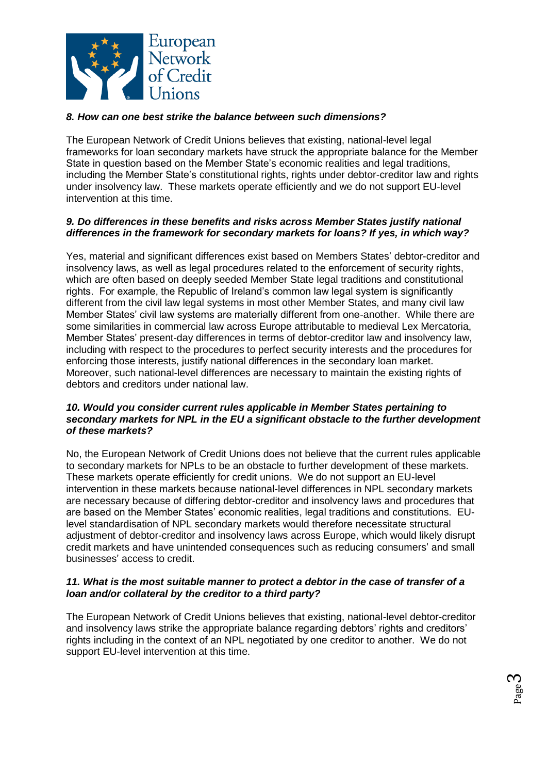

# *8. How can one best strike the balance between such dimensions?*

The European Network of Credit Unions believes that existing, national-level legal frameworks for loan secondary markets have struck the appropriate balance for the Member State in question based on the Member State's economic realities and legal traditions, including the Member State's constitutional rights, rights under debtor-creditor law and rights under insolvency law. These markets operate efficiently and we do not support EU-level intervention at this time.

## *9. Do differences in these benefits and risks across Member States justify national differences in the framework for secondary markets for loans? If yes, in which way?*

Yes, material and significant differences exist based on Members States' debtor-creditor and insolvency laws, as well as legal procedures related to the enforcement of security rights, which are often based on deeply seeded Member State legal traditions and constitutional rights. For example, the Republic of Ireland's common law legal system is significantly different from the civil law legal systems in most other Member States, and many civil law Member States' civil law systems are materially different from one-another. While there are some similarities in commercial law across Europe attributable to medieval Lex Mercatoria, Member States' present-day differences in terms of debtor-creditor law and insolvency law, including with respect to the procedures to perfect security interests and the procedures for enforcing those interests, justify national differences in the secondary loan market. Moreover, such national-level differences are necessary to maintain the existing rights of debtors and creditors under national law.

#### *10. Would you consider current rules applicable in Member States pertaining to secondary markets for NPL in the EU a significant obstacle to the further development of these markets?*

No, the European Network of Credit Unions does not believe that the current rules applicable to secondary markets for NPLs to be an obstacle to further development of these markets. These markets operate efficiently for credit unions. We do not support an EU-level intervention in these markets because national-level differences in NPL secondary markets are necessary because of differing debtor-creditor and insolvency laws and procedures that are based on the Member States' economic realities, legal traditions and constitutions. EUlevel standardisation of NPL secondary markets would therefore necessitate structural adjustment of debtor-creditor and insolvency laws across Europe, which would likely disrupt credit markets and have unintended consequences such as reducing consumers' and small businesses' access to credit.

#### *11. What is the most suitable manner to protect a debtor in the case of transfer of a loan and/or collateral by the creditor to a third party?*

The European Network of Credit Unions believes that existing, national-level debtor-creditor and insolvency laws strike the appropriate balance regarding debtors' rights and creditors' rights including in the context of an NPL negotiated by one creditor to another. We do not support EU-level intervention at this time.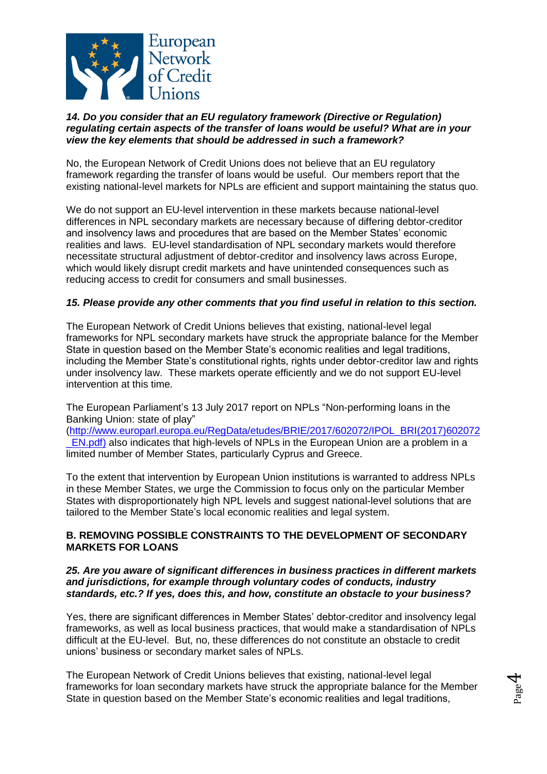

#### *14. Do you consider that an EU regulatory framework (Directive or Regulation) regulating certain aspects of the transfer of loans would be useful? What are in your view the key elements that should be addressed in such a framework?*

No, the European Network of Credit Unions does not believe that an EU regulatory framework regarding the transfer of loans would be useful. Our members report that the existing national-level markets for NPLs are efficient and support maintaining the status quo.

We do not support an EU-level intervention in these markets because national-level differences in NPL secondary markets are necessary because of differing debtor-creditor and insolvency laws and procedures that are based on the Member States' economic realities and laws. EU-level standardisation of NPL secondary markets would therefore necessitate structural adjustment of debtor-creditor and insolvency laws across Europe, which would likely disrupt credit markets and have unintended consequences such as reducing access to credit for consumers and small businesses.

# *15. Please provide any other comments that you find useful in relation to this section.*

The European Network of Credit Unions believes that existing, national-level legal frameworks for NPL secondary markets have struck the appropriate balance for the Member State in question based on the Member State's economic realities and legal traditions, including the Member State's constitutional rights, rights under debtor-creditor law and rights under insolvency law. These markets operate efficiently and we do not support EU-level intervention at this time.

The European Parliament's 13 July 2017 report on NPLs "Non-performing loans in the Banking Union: state of play"

[\(http://www.europarl.europa.eu/RegData/etudes/BRIE/2017/602072/IPOL\\_BRI\(2017\)602072](http://www.europarl.europa.eu/RegData/etudes/BRIE/2017/602072/IPOL_BRI(2017)602072_EN.pdf)) EN.pdf) also indicates that high-levels of NPLs in the European Union are a problem in a limited number of Member States, particularly Cyprus and Greece.

To the extent that intervention by European Union institutions is warranted to address NPLs in these Member States, we urge the Commission to focus only on the particular Member States with disproportionately high NPL levels and suggest national-level solutions that are tailored to the Member State's local economic realities and legal system.

## **B. REMOVING POSSIBLE CONSTRAINTS TO THE DEVELOPMENT OF SECONDARY MARKETS FOR LOANS**

#### *25. Are you aware of significant differences in business practices in different markets and jurisdictions, for example through voluntary codes of conducts, industry standards, etc.? If yes, does this, and how, constitute an obstacle to your business?*

Yes, there are significant differences in Member States' debtor-creditor and insolvency legal frameworks, as well as local business practices, that would make a standardisation of NPLs difficult at the EU-level. But, no, these differences do not constitute an obstacle to credit unions' business or secondary market sales of NPLs.

The European Network of Credit Unions believes that existing, national-level legal frameworks for loan secondary markets have struck the appropriate balance for the Member State in question based on the Member State's economic realities and legal traditions,

Page  $\overline{\mathcal{A}}$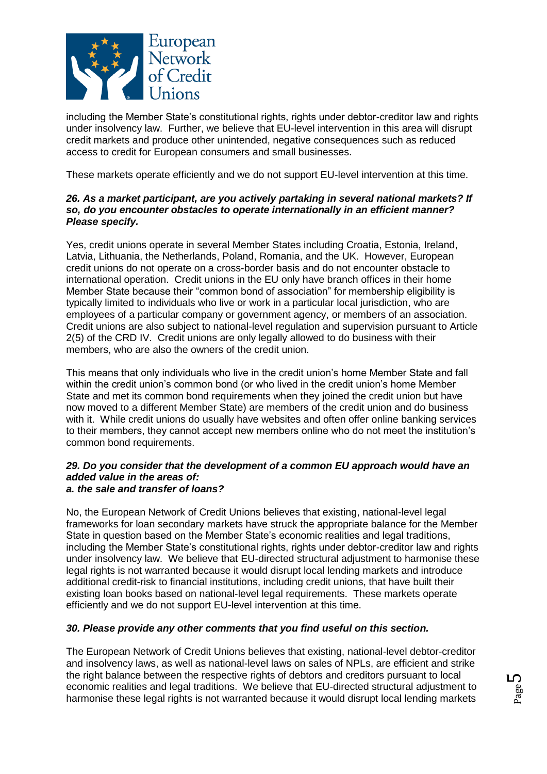

including the Member State's constitutional rights, rights under debtor-creditor law and rights under insolvency law. Further, we believe that EU-level intervention in this area will disrupt credit markets and produce other unintended, negative consequences such as reduced access to credit for European consumers and small businesses.

These markets operate efficiently and we do not support EU-level intervention at this time.

#### *26. As a market participant, are you actively partaking in several national markets? If so, do you encounter obstacles to operate internationally in an efficient manner? Please specify.*

Yes, credit unions operate in several Member States including Croatia, Estonia, Ireland, Latvia, Lithuania, the Netherlands, Poland, Romania, and the UK. However, European credit unions do not operate on a cross-border basis and do not encounter obstacle to international operation. Credit unions in the EU only have branch offices in their home Member State because their "common bond of association" for membership eligibility is typically limited to individuals who live or work in a particular local jurisdiction, who are employees of a particular company or government agency, or members of an association. Credit unions are also subject to national-level regulation and supervision pursuant to Article 2(5) of the CRD IV. Credit unions are only legally allowed to do business with their members, who are also the owners of the credit union.

This means that only individuals who live in the credit union's home Member State and fall within the credit union's common bond (or who lived in the credit union's home Member State and met its common bond requirements when they joined the credit union but have now moved to a different Member State) are members of the credit union and do business with it. While credit unions do usually have websites and often offer online banking services to their members, they cannot accept new members online who do not meet the institution's common bond requirements.

#### *29. Do you consider that the development of a common EU approach would have an added value in the areas of: a. the sale and transfer of loans?*

No, the European Network of Credit Unions believes that existing, national-level legal frameworks for loan secondary markets have struck the appropriate balance for the Member State in question based on the Member State's economic realities and legal traditions, including the Member State's constitutional rights, rights under debtor-creditor law and rights under insolvency law. We believe that EU-directed structural adjustment to harmonise these legal rights is not warranted because it would disrupt local lending markets and introduce additional credit-risk to financial institutions, including credit unions, that have built their existing loan books based on national-level legal requirements. These markets operate efficiently and we do not support EU-level intervention at this time.

## *30. Please provide any other comments that you find useful on this section.*

The European Network of Credit Unions believes that existing, national-level debtor-creditor and insolvency laws, as well as national-level laws on sales of NPLs, are efficient and strike the right balance between the respective rights of debtors and creditors pursuant to local economic realities and legal traditions. We believe that EU-directed structural adjustment to harmonise these legal rights is not warranted because it would disrupt local lending markets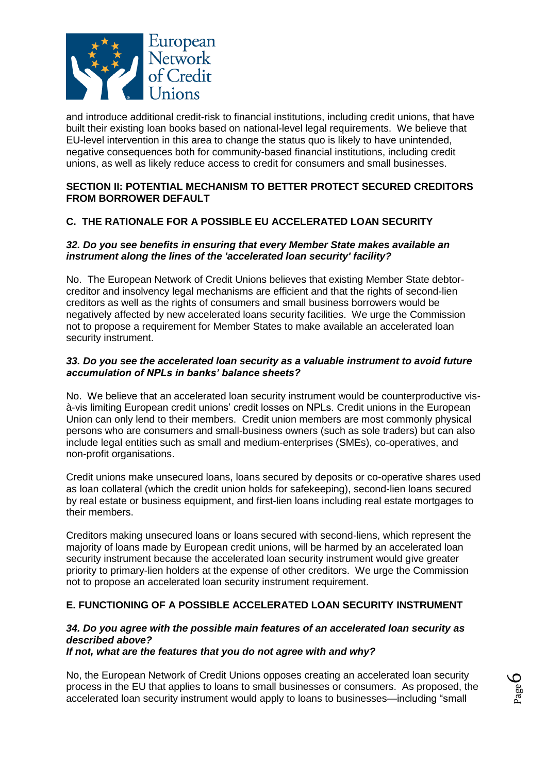

and introduce additional credit-risk to financial institutions, including credit unions, that have built their existing loan books based on national-level legal requirements. We believe that EU-level intervention in this area to change the status quo is likely to have unintended, negative consequences both for community-based financial institutions, including credit unions, as well as likely reduce access to credit for consumers and small businesses.

# **SECTION II: POTENTIAL MECHANISM TO BETTER PROTECT SECURED CREDITORS FROM BORROWER DEFAULT**

# **C. THE RATIONALE FOR A POSSIBLE EU ACCELERATED LOAN SECURITY**

## *32. Do you see benefits in ensuring that every Member State makes available an instrument along the lines of the 'accelerated loan security' facility?*

No. The European Network of Credit Unions believes that existing Member State debtorcreditor and insolvency legal mechanisms are efficient and that the rights of second-lien creditors as well as the rights of consumers and small business borrowers would be negatively affected by new accelerated loans security facilities. We urge the Commission not to propose a requirement for Member States to make available an accelerated loan security instrument.

#### *33. Do you see the accelerated loan security as a valuable instrument to avoid future accumulation of NPLs in banks' balance sheets?*

No. We believe that an accelerated loan security instrument would be counterproductive visà-vis limiting European credit unions' credit losses on NPLs. Credit unions in the European Union can only lend to their members. Credit union members are most commonly physical persons who are consumers and small-business owners (such as sole traders) but can also include legal entities such as small and medium-enterprises (SMEs), co-operatives, and non-profit organisations.

Credit unions make unsecured loans, loans secured by deposits or co-operative shares used as loan collateral (which the credit union holds for safekeeping), second-lien loans secured by real estate or business equipment, and first-lien loans including real estate mortgages to their members.

Creditors making unsecured loans or loans secured with second-liens, which represent the majority of loans made by European credit unions, will be harmed by an accelerated loan security instrument because the accelerated loan security instrument would give greater priority to primary-lien holders at the expense of other creditors. We urge the Commission not to propose an accelerated loan security instrument requirement.

# **E. FUNCTIONING OF A POSSIBLE ACCELERATED LOAN SECURITY INSTRUMENT**

## *34. Do you agree with the possible main features of an accelerated loan security as described above?*

#### *If not, what are the features that you do not agree with and why?*

No, the European Network of Credit Unions opposes creating an accelerated loan security process in the EU that applies to loans to small businesses or consumers. As proposed, the accelerated loan security instrument would apply to loans to businesses—including "small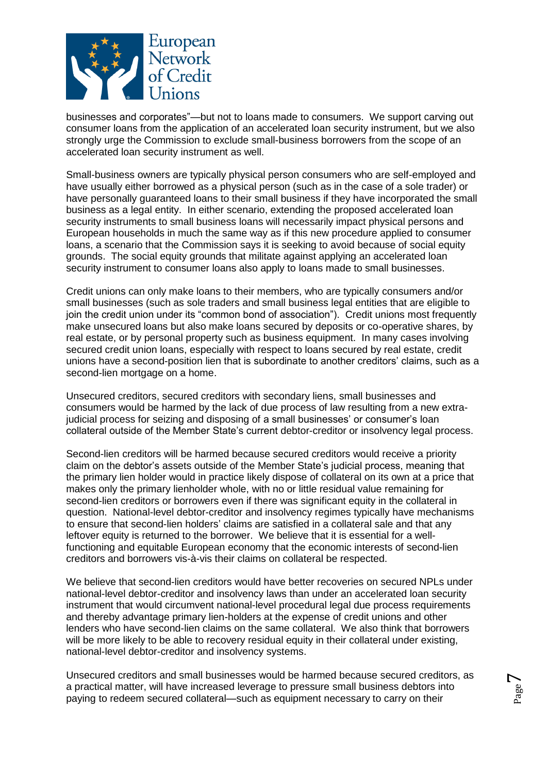

businesses and corporates"—but not to loans made to consumers. We support carving out consumer loans from the application of an accelerated loan security instrument, but we also strongly urge the Commission to exclude small-business borrowers from the scope of an accelerated loan security instrument as well.

Small-business owners are typically physical person consumers who are self-employed and have usually either borrowed as a physical person (such as in the case of a sole trader) or have personally guaranteed loans to their small business if they have incorporated the small business as a legal entity. In either scenario, extending the proposed accelerated loan security instruments to small business loans will necessarily impact physical persons and European households in much the same way as if this new procedure applied to consumer loans, a scenario that the Commission says it is seeking to avoid because of social equity grounds. The social equity grounds that militate against applying an accelerated loan security instrument to consumer loans also apply to loans made to small businesses.

Credit unions can only make loans to their members, who are typically consumers and/or small businesses (such as sole traders and small business legal entities that are eligible to join the credit union under its "common bond of association"). Credit unions most frequently make unsecured loans but also make loans secured by deposits or co-operative shares, by real estate, or by personal property such as business equipment. In many cases involving secured credit union loans, especially with respect to loans secured by real estate, credit unions have a second-position lien that is subordinate to another creditors' claims, such as a second-lien mortgage on a home.

Unsecured creditors, secured creditors with secondary liens, small businesses and consumers would be harmed by the lack of due process of law resulting from a new extrajudicial process for seizing and disposing of a small businesses' or consumer's loan collateral outside of the Member State's current debtor-creditor or insolvency legal process.

Second-lien creditors will be harmed because secured creditors would receive a priority claim on the debtor's assets outside of the Member State's judicial process, meaning that the primary lien holder would in practice likely dispose of collateral on its own at a price that makes only the primary lienholder whole, with no or little residual value remaining for second-lien creditors or borrowers even if there was significant equity in the collateral in question. National-level debtor-creditor and insolvency regimes typically have mechanisms to ensure that second-lien holders' claims are satisfied in a collateral sale and that any leftover equity is returned to the borrower. We believe that it is essential for a wellfunctioning and equitable European economy that the economic interests of second-lien creditors and borrowers vis-à-vis their claims on collateral be respected.

We believe that second-lien creditors would have better recoveries on secured NPLs under national-level debtor-creditor and insolvency laws than under an accelerated loan security instrument that would circumvent national-level procedural legal due process requirements and thereby advantage primary lien-holders at the expense of credit unions and other lenders who have second-lien claims on the same collateral. We also think that borrowers will be more likely to be able to recovery residual equity in their collateral under existing, national-level debtor-creditor and insolvency systems.

Unsecured creditors and small businesses would be harmed because secured creditors, as a practical matter, will have increased leverage to pressure small business debtors into paying to redeem secured collateral—such as equipment necessary to carry on their